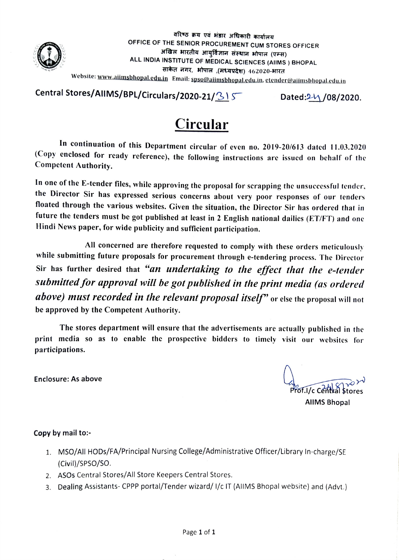

वरिष्ठ क्रय एवं भंडार अधिकारी कार्यालय OFFICE OF THE SENIOR PROCUREMENT CUM STORES OFFICER<br>अखिल भारतीय आयुर्विज्ञान संस्थान भोपाल (एम्स) ALL INDIA INSTITUTE OF MEDICAL SCIENCES (AIIMS ) BHOPAL साकेत नगर, भोपाल ,(मध्यप्रदेश) 462020-भारत

Website: ww.aiimsbhopal.edu.in Email: spso@aiimsbhopal.edu.in, etender@aiimsbhopal.edu.in

Central Stores/AllMS/BPL/Circulars/2020-21/315 Dated: $24/08/2020$ .

## Circular

In continuation of this Department circular of even no. 2019-20/613 dated 11.03.2020 (Copy enclosed for ready referencc), the following instructions are issued on behalf of the Competent Authority.

In one of the E-tender files, while approving the proposal for serapping the unsuccessful tender. the Director Sir has expressed serious concerns about very poor responses of our tenders floated through the various websites. Given the situation, the Director Sir has ordered that in future the tenders must be got published at least in 2 English national dailies (ET/FT) and one Hindi News paper, for wide publicity and sufficient participation.

All concerned are therefore requested to comply with these orders meticulously while submitting future proposals for procurement through e-tendering process. The Director Sir has further desired that "an undertaking to the effect that the e-tender submitted for approval will be got published in the print media (as ordered above) must recorded in the relevant proposal itself" or else the proposal will not be approved by the Competent Authority.

The stores department will ensure that the advertisements are actually published in the print media so as to enable the prospective bidders to timely visit our websites for participations.

Enclosure: As above

 $P_{\text{TO}}$ Frof.I/c Central stor AllMS Bhopal

## Copy by mail to:

- 1. MSO/All HODs/FA/Principal Nursing College/Administrative Officer/Library In-charge/SE (Civil)/SPS0/So.
- 2. ASOs Central Stores/All Store Keepers Central Stores
- 3. Dealing Assistants-CPPP portal/Tender wizard/ 1/c IT (AlIMS Bhopal website) and (Advt.)